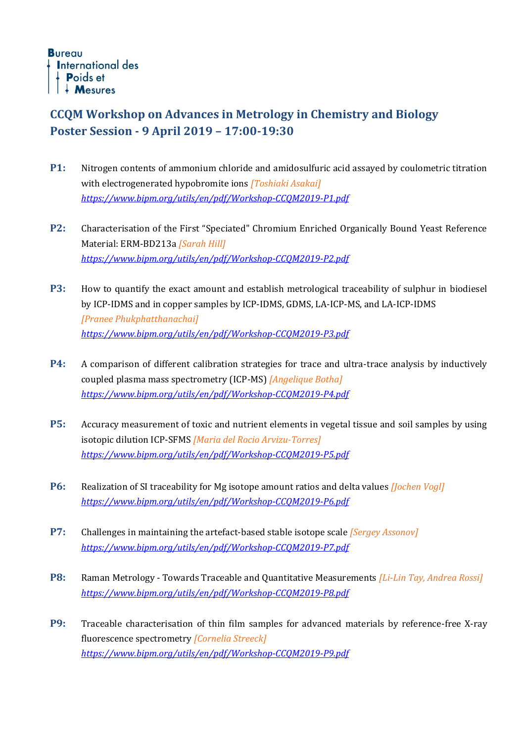## **CCQM Workshop on Advances in Metrology in Chemistry and Biology Poster Session - 9 April 2019 – 17:00-19:30**

- **P1:** Nitrogen contents of ammonium chloride and amidosulfuric acid assayed by coulometric titration with electrogenerated hypobromite ions *[Toshiaki Asakai] <https://www.bipm.org/utils/en/pdf/Workshop-CCQM2019-P1.pdf>*
- **P2:** Characterisation of the First "Speciated" Chromium Enriched Organically Bound Yeast Reference Material: ERM-BD213a *[Sarah Hill] <https://www.bipm.org/utils/en/pdf/Workshop-CCQM2019-P2.pdf>*
- **P3:** How to quantify the exact amount and establish metrological traceability of sulphur in biodiesel by ICP-IDMS and in copper samples by ICP-IDMS, GDMS, LA-ICP-MS, and LA-ICP-IDMS *[Pranee Phukphatthanachai] <https://www.bipm.org/utils/en/pdf/Workshop-CCQM2019-P3.pdf>*
- **P4:** A comparison of different calibration strategies for trace and ultra-trace analysis by inductively coupled plasma mass spectrometry (ICP-MS) *[Angelique Botha] <https://www.bipm.org/utils/en/pdf/Workshop-CCQM2019-P4.pdf>*
- **P5:** Accuracy measurement of toxic and nutrient elements in vegetal tissue and soil samples by using isotopic dilution ICP-SFMS *[Maria del Rocio Arvizu-Torres] <https://www.bipm.org/utils/en/pdf/Workshop-CCQM2019-P5.pdf>*
- **P6:** Realization of SI traceability for Mg isotope amount ratios and delta values *[Jochen Vogl] <https://www.bipm.org/utils/en/pdf/Workshop-CCQM2019-P6.pdf>*
- **P7:** Challenges in maintaining the artefact-based stable isotope scale *[Sergey Assonov] <https://www.bipm.org/utils/en/pdf/Workshop-CCQM2019-P7.pdf>*
- **P8:** Raman Metrology Towards Traceable and Quantitative Measurements *[Li-Lin Tay, Andrea Rossi] <https://www.bipm.org/utils/en/pdf/Workshop-CCQM2019-P8.pdf>*
- **P9:** Traceable characterisation of thin film samples for advanced materials by reference-free X-ray fluorescence spectrometry *[Cornelia Streeck] <https://www.bipm.org/utils/en/pdf/Workshop-CCQM2019-P9.pdf>*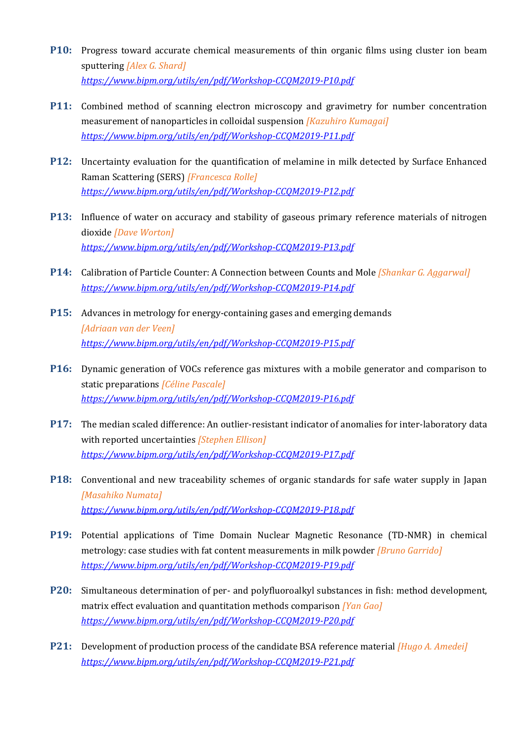- **P10:** Progress toward accurate chemical measurements of thin organic films using cluster ion beam sputtering *[Alex G. Shard] <https://www.bipm.org/utils/en/pdf/Workshop-CCQM2019-P10.pdf>*
- **P11:** Combined method of scanning electron microscopy and gravimetry for number concentration measurement of nanoparticles in colloidal suspension *[Kazuhiro Kumagai] <https://www.bipm.org/utils/en/pdf/Workshop-CCQM2019-P11.pdf>*
- **P12:** Uncertainty evaluation for the quantification of melamine in milk detected by Surface Enhanced Raman Scattering (SERS) *[Francesca Rolle] <https://www.bipm.org/utils/en/pdf/Workshop-CCQM2019-P12.pdf>*
- **P13:** Influence of water on accuracy and stability of gaseous primary reference materials of nitrogen dioxide *[Dave Worton] <https://www.bipm.org/utils/en/pdf/Workshop-CCQM2019-P13.pdf>*
- **P14:** Calibration of Particle Counter: A Connection between Counts and Mole *[Shankar G. Aggarwal] <https://www.bipm.org/utils/en/pdf/Workshop-CCQM2019-P14.pdf>*
- **P15:** Advances in metrology for energy-containing gases and emerging demands *[Adriaan van der Veen] <https://www.bipm.org/utils/en/pdf/Workshop-CCQM2019-P15.pdf>*
- **P16:** Dynamic generation of VOCs reference gas mixtures with a mobile generator and comparison to static preparations *[Céline Pascale] <https://www.bipm.org/utils/en/pdf/Workshop-CCQM2019-P16.pdf>*
- **P17:** The median scaled difference: An outlier-resistant indicator of anomalies for inter-laboratory data with reported uncertainties *[Stephen Ellison] <https://www.bipm.org/utils/en/pdf/Workshop-CCQM2019-P17.pdf>*
- **P18:** Conventional and new traceability schemes of organic standards for safe water supply in Japan *[Masahiko Numata] <https://www.bipm.org/utils/en/pdf/Workshop-CCQM2019-P18.pdf>*
- **P19:** Potential applications of Time Domain Nuclear Magnetic Resonance (TD-NMR) in chemical metrology: case studies with fat content measurements in milk powder *[Bruno Garrido] <https://www.bipm.org/utils/en/pdf/Workshop-CCQM2019-P19.pdf>*
- **P20:** Simultaneous determination of per- and polyfluoroalkyl substances in fish: method development, matrix effect evaluation and quantitation methods comparison *[Yan Gao] <https://www.bipm.org/utils/en/pdf/Workshop-CCQM2019-P20.pdf>*
- **P21:** Development of production process of the candidate BSA reference material *[Hugo A. Amedei] <https://www.bipm.org/utils/en/pdf/Workshop-CCQM2019-P21.pdf>*